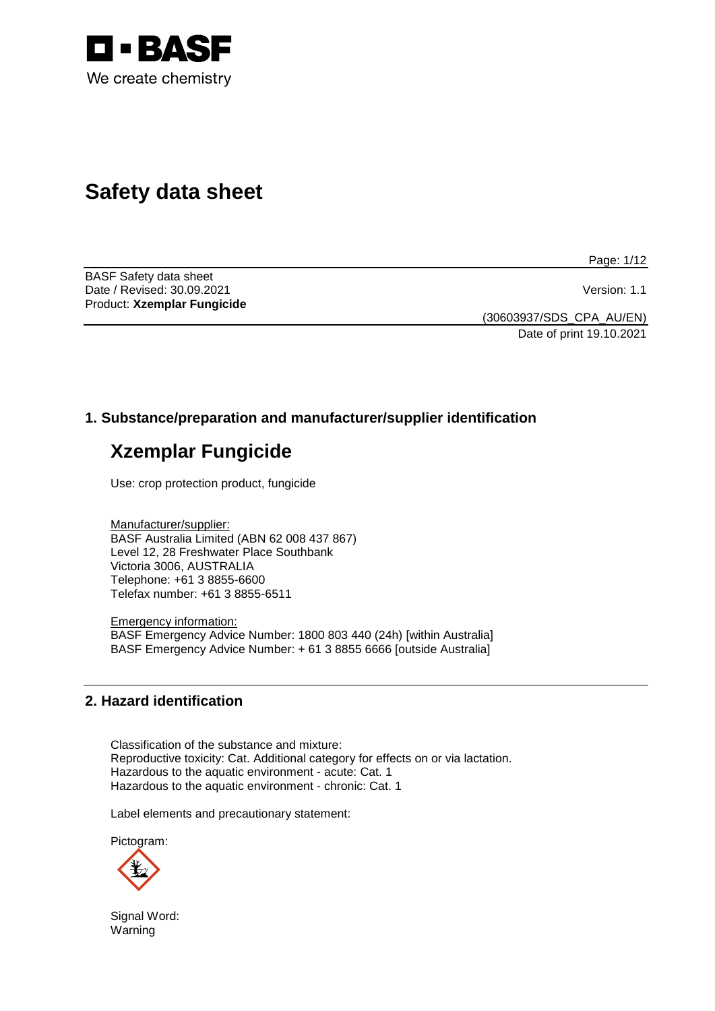

# **Safety data sheet**

Page: 1/12

BASF Safety data sheet Date / Revised: 30.09.2021 **Version: 1.1** Product: **Xzemplar Fungicide**

(30603937/SDS\_CPA\_AU/EN) Date of print 19.10.2021

# **1. Substance/preparation and manufacturer/supplier identification**

# **Xzemplar Fungicide**

Use: crop protection product, fungicide

Manufacturer/supplier: BASF Australia Limited (ABN 62 008 437 867) Level 12, 28 Freshwater Place Southbank Victoria 3006, AUSTRALIA Telephone: +61 3 8855-6600 Telefax number: +61 3 8855-6511

Emergency information: BASF Emergency Advice Number: 1800 803 440 (24h) [within Australia] BASF Emergency Advice Number: + 61 3 8855 6666 [outside Australia]

## **2. Hazard identification**

Classification of the substance and mixture: Reproductive toxicity: Cat. Additional category for effects on or via lactation. Hazardous to the aquatic environment - acute: Cat. 1 Hazardous to the aquatic environment - chronic: Cat. 1

Label elements and precautionary statement:

Pictogram:



Signal Word: Warning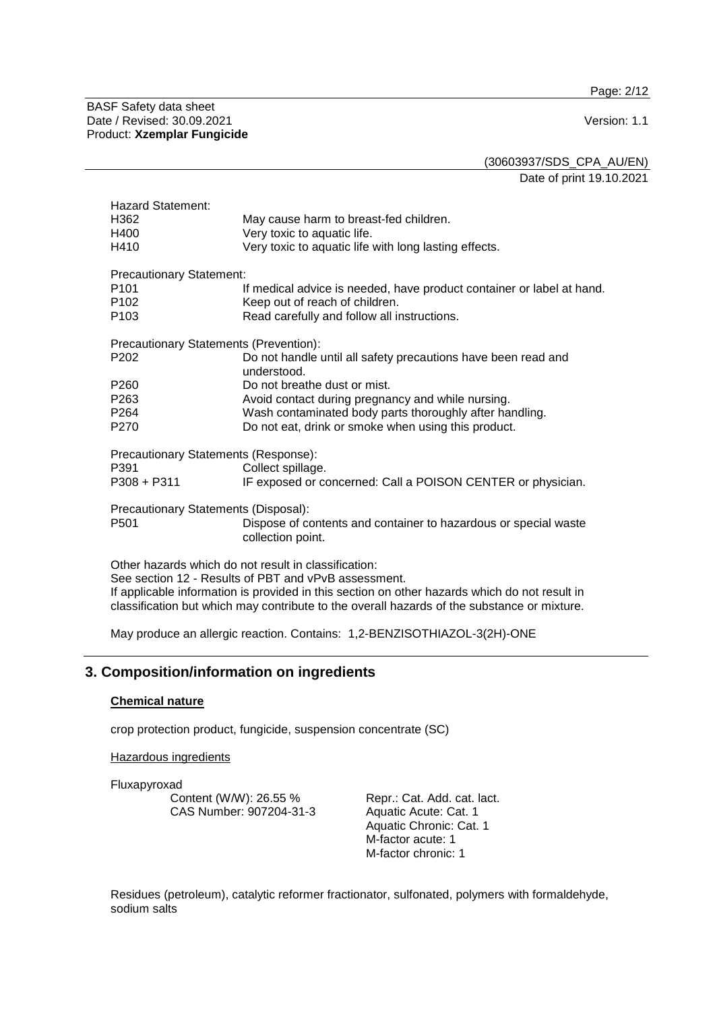Page: 2/12

BASF Safety data sheet Date / Revised: 30.09.2021 Version: 1.1 Product: **Xzemplar Fungicide**

(30603937/SDS\_CPA\_AU/EN)

Date of print 19.10.2021

| If medical advice is needed, have product container or label at hand.                                                                                 |  |  |
|-------------------------------------------------------------------------------------------------------------------------------------------------------|--|--|
|                                                                                                                                                       |  |  |
|                                                                                                                                                       |  |  |
|                                                                                                                                                       |  |  |
|                                                                                                                                                       |  |  |
|                                                                                                                                                       |  |  |
|                                                                                                                                                       |  |  |
|                                                                                                                                                       |  |  |
| Precautionary Statements (Response):                                                                                                                  |  |  |
|                                                                                                                                                       |  |  |
|                                                                                                                                                       |  |  |
|                                                                                                                                                       |  |  |
|                                                                                                                                                       |  |  |
|                                                                                                                                                       |  |  |
| See section 12 - Results of PBT and vPvB assessment.<br>If applicable information is provided in this section on other hazards which do not result in |  |  |
|                                                                                                                                                       |  |  |

classification but which may contribute to the overall hazards of the substance or mixture.

May produce an allergic reaction. Contains: 1,2-BENZISOTHIAZOL-3(2H)-ONE

# **3. Composition/information on ingredients**

## **Chemical nature**

crop protection product, fungicide, suspension concentrate (SC)

## Hazardous ingredients

Fluxapyroxad

Content (W/W): 26.55 % CAS Number: 907204-31-3

Repr.: Cat. Add. cat. lact. Aquatic Acute: Cat. 1 Aquatic Chronic: Cat. 1 M-factor acute: 1 M-factor chronic: 1

Residues (petroleum), catalytic reformer fractionator, sulfonated, polymers with formaldehyde, sodium salts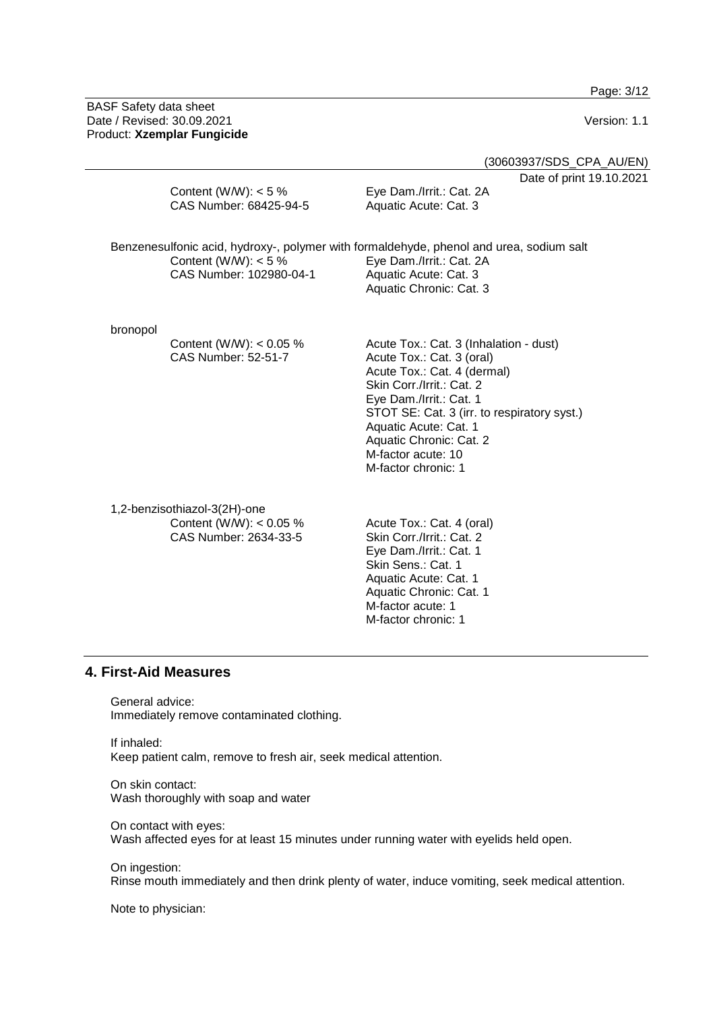Page: 3/12

BASF Safety data sheet Date / Revised: 30.09.2021 Version: 1.1 Product: **Xzemplar Fungicide**

(30603937/SDS\_CPA\_AU/EN)

Date of print 19.10.2021

|          | Content (W/W): $<$ 5 %<br>CAS Number: 68425-94-5                                   | Date of print<br>Eye Dam./Irrit.: Cat. 2A<br>Aquatic Acute: Cat. 3                                                                                                                                                                                                                                         |
|----------|------------------------------------------------------------------------------------|------------------------------------------------------------------------------------------------------------------------------------------------------------------------------------------------------------------------------------------------------------------------------------------------------------|
|          | Content (W/W): $<$ 5 %<br>CAS Number: 102980-04-1                                  | Benzenesulfonic acid, hydroxy-, polymer with formaldehyde, phenol and urea, sodium salt<br>Eye Dam./Irrit.: Cat. 2A<br>Aquatic Acute: Cat. 3<br>Aquatic Chronic: Cat. 3                                                                                                                                    |
| bronopol | Content (W/W): $< 0.05$ %<br><b>CAS Number: 52-51-7</b>                            | Acute Tox.: Cat. 3 (Inhalation - dust)<br>Acute Tox.: Cat. 3 (oral)<br>Acute Tox.: Cat. 4 (dermal)<br>Skin Corr./Irrit.: Cat. 2<br>Eye Dam./Irrit.: Cat. 1<br>STOT SE: Cat. 3 (irr. to respiratory syst.)<br>Aquatic Acute: Cat. 1<br>Aquatic Chronic: Cat. 2<br>M-factor acute: 10<br>M-factor chronic: 1 |
|          | 1,2-benzisothiazol-3(2H)-one<br>Content (W/W): $< 0.05$ %<br>CAS Number: 2631-33-5 | Acute Tox.: Cat. 4 (oral)<br>Skin Corr /Irrit : Cat 2                                                                                                                                                                                                                                                      |

CAS Number: 2634-33-5

Skin Corr./Irrit.: Cat. 2 Eye Dam./Irrit.: Cat. 1 Skin Sens.: Cat. 1 Aquatic Acute: Cat. 1 Aquatic Chronic: Cat. 1 M-factor acute: 1 M-factor chronic: 1

## **4. First-Aid Measures**

General advice: Immediately remove contaminated clothing.

If inhaled: Keep patient calm, remove to fresh air, seek medical attention.

On skin contact: Wash thoroughly with soap and water

On contact with eyes: Wash affected eyes for at least 15 minutes under running water with eyelids held open.

On ingestion: Rinse mouth immediately and then drink plenty of water, induce vomiting, seek medical attention.

Note to physician: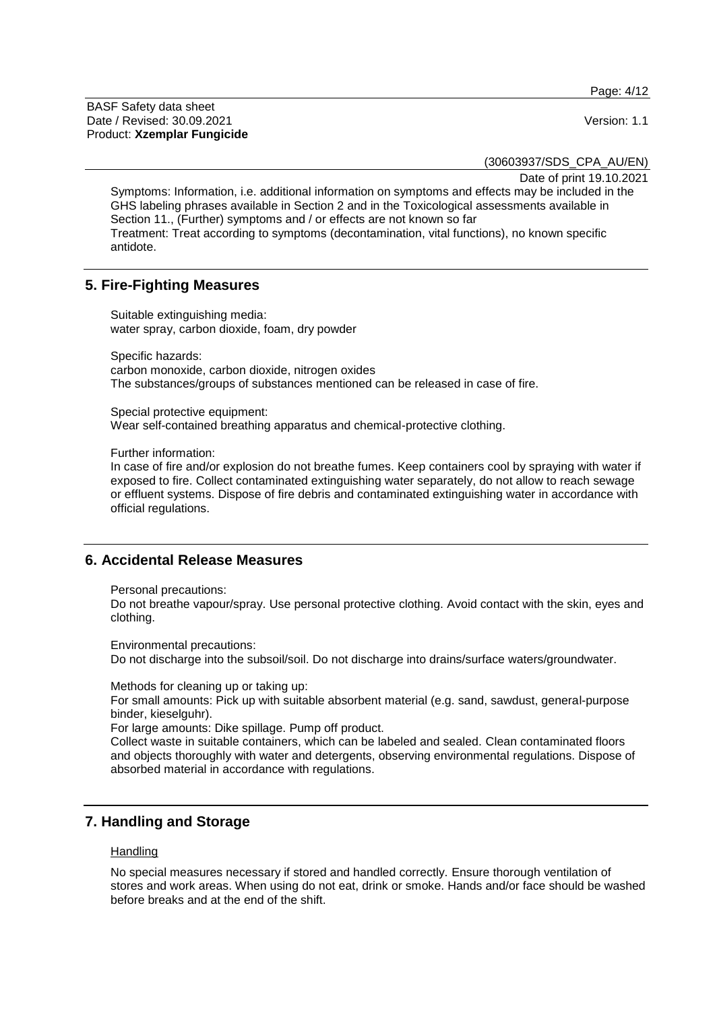Page: 4/12

BASF Safety data sheet Date / Revised: 30.09.2021 **Version: 1.1** Product: **Xzemplar Fungicide**

(30603937/SDS\_CPA\_AU/EN)

Date of print 19.10.2021

Symptoms: Information, i.e. additional information on symptoms and effects may be included in the GHS labeling phrases available in Section 2 and in the Toxicological assessments available in Section 11., (Further) symptoms and / or effects are not known so far Treatment: Treat according to symptoms (decontamination, vital functions), no known specific antidote.

## **5. Fire-Fighting Measures**

Suitable extinguishing media: water spray, carbon dioxide, foam, dry powder

Specific hazards: carbon monoxide, carbon dioxide, nitrogen oxides The substances/groups of substances mentioned can be released in case of fire.

Special protective equipment: Wear self-contained breathing apparatus and chemical-protective clothing.

Further information:

In case of fire and/or explosion do not breathe fumes. Keep containers cool by spraying with water if exposed to fire. Collect contaminated extinguishing water separately, do not allow to reach sewage or effluent systems. Dispose of fire debris and contaminated extinguishing water in accordance with official regulations.

## **6. Accidental Release Measures**

Personal precautions:

Do not breathe vapour/spray. Use personal protective clothing. Avoid contact with the skin, eyes and clothing.

Environmental precautions: Do not discharge into the subsoil/soil. Do not discharge into drains/surface waters/groundwater.

Methods for cleaning up or taking up:

For small amounts: Pick up with suitable absorbent material (e.g. sand, sawdust, general-purpose binder, kieselguhr).

For large amounts: Dike spillage. Pump off product.

Collect waste in suitable containers, which can be labeled and sealed. Clean contaminated floors and objects thoroughly with water and detergents, observing environmental regulations. Dispose of absorbed material in accordance with regulations.

## **7. Handling and Storage**

#### **Handling**

No special measures necessary if stored and handled correctly. Ensure thorough ventilation of stores and work areas. When using do not eat, drink or smoke. Hands and/or face should be washed before breaks and at the end of the shift.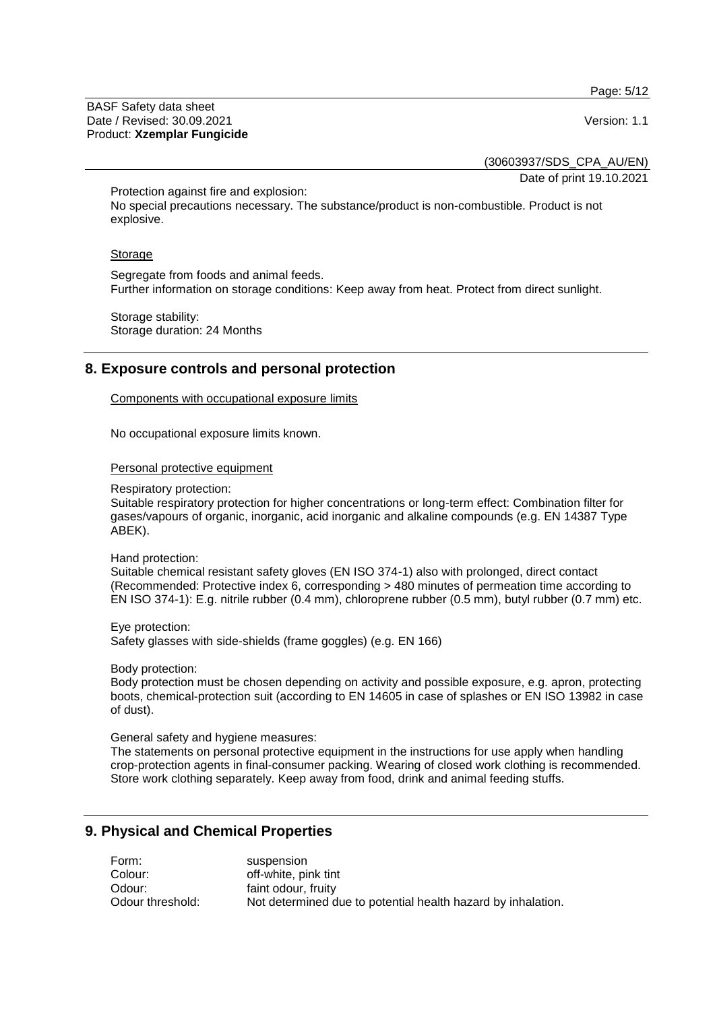Page: 5/12

BASF Safety data sheet Date / Revised: 30.09.2021 **Version: 1.1** Product: **Xzemplar Fungicide**

(30603937/SDS\_CPA\_AU/EN)

Date of print 19.10.2021

Protection against fire and explosion: No special precautions necessary. The substance/product is non-combustible. Product is not explosive.

#### **Storage**

Segregate from foods and animal feeds. Further information on storage conditions: Keep away from heat. Protect from direct sunlight.

Storage stability: Storage duration: 24 Months

# **8. Exposure controls and personal protection**

Components with occupational exposure limits

No occupational exposure limits known.

Personal protective equipment

#### Respiratory protection:

Suitable respiratory protection for higher concentrations or long-term effect: Combination filter for gases/vapours of organic, inorganic, acid inorganic and alkaline compounds (e.g. EN 14387 Type ABEK).

Hand protection:

Suitable chemical resistant safety gloves (EN ISO 374-1) also with prolonged, direct contact (Recommended: Protective index 6, corresponding > 480 minutes of permeation time according to EN ISO 374-1): E.g. nitrile rubber (0.4 mm), chloroprene rubber (0.5 mm), butyl rubber (0.7 mm) etc.

Eye protection: Safety glasses with side-shields (frame goggles) (e.g. EN 166)

Body protection:

Body protection must be chosen depending on activity and possible exposure, e.g. apron, protecting boots, chemical-protection suit (according to EN 14605 in case of splashes or EN ISO 13982 in case of dust).

General safety and hygiene measures:

The statements on personal protective equipment in the instructions for use apply when handling crop-protection agents in final-consumer packing. Wearing of closed work clothing is recommended. Store work clothing separately. Keep away from food, drink and animal feeding stuffs.

## **9. Physical and Chemical Properties**

| Form:            | suspension                                                   |
|------------------|--------------------------------------------------------------|
| Colour:          | off-white, pink tint                                         |
| Odour:           | faint odour, fruity                                          |
| Odour threshold: | Not determined due to potential health hazard by inhalation. |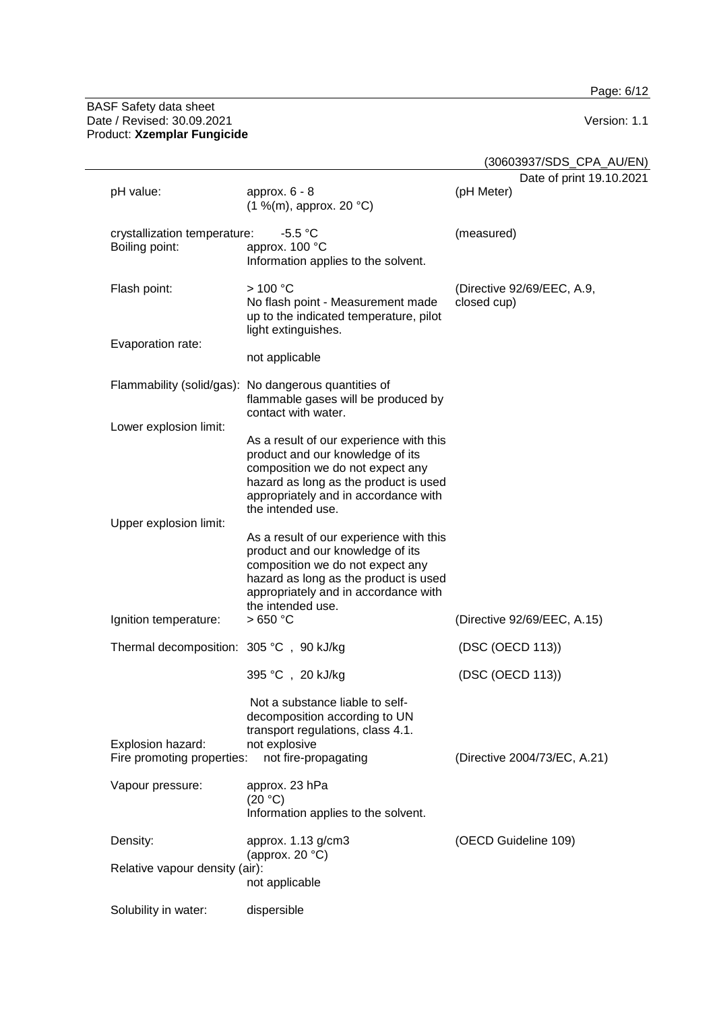Page: 6/12

#### BASF Safety data sheet Date / Revised: 30.09.2021 Version: 1.1 Product: **Xzemplar Fungicide**

(30603937/SDS\_CPA\_AU/EN)

|                                                 |                                                                                                                                                                                                                       | $\sim$                                    |
|-------------------------------------------------|-----------------------------------------------------------------------------------------------------------------------------------------------------------------------------------------------------------------------|-------------------------------------------|
| pH value:                                       | approx. $6 - 8$<br>(1 %(m), approx. 20 °C)                                                                                                                                                                            | Date of print 19.10.2021<br>(pH Meter)    |
| crystallization temperature:<br>Boiling point:  | $-5.5 °C$<br>approx. 100 °C<br>Information applies to the solvent.                                                                                                                                                    | (measured)                                |
| Flash point:                                    | >100 °C<br>No flash point - Measurement made<br>up to the indicated temperature, pilot<br>light extinguishes.                                                                                                         | (Directive 92/69/EEC, A.9,<br>closed cup) |
| Evaporation rate:                               | not applicable                                                                                                                                                                                                        |                                           |
|                                                 | Flammability (solid/gas): No dangerous quantities of<br>flammable gases will be produced by<br>contact with water.                                                                                                    |                                           |
| Lower explosion limit:                          |                                                                                                                                                                                                                       |                                           |
|                                                 | As a result of our experience with this<br>product and our knowledge of its<br>composition we do not expect any<br>hazard as long as the product is used<br>appropriately and in accordance with<br>the intended use. |                                           |
| Upper explosion limit:                          | As a result of our experience with this<br>product and our knowledge of its<br>composition we do not expect any<br>hazard as long as the product is used<br>appropriately and in accordance with<br>the intended use. |                                           |
| Ignition temperature:                           | >650 °C                                                                                                                                                                                                               | (Directive 92/69/EEC, A.15)               |
| Thermal decomposition: 305 °C, 90 kJ/kg         |                                                                                                                                                                                                                       | (DSC (OECD 113))                          |
|                                                 | 395 °C, 20 kJ/kg                                                                                                                                                                                                      | (DSC (OECD 113))                          |
| Explosion hazard:<br>Fire promoting properties: | Not a substance liable to self-<br>decomposition according to UN<br>transport regulations, class 4.1.<br>not explosive<br>not fire-propagating                                                                        | (Directive 2004/73/EC, A.21)              |
|                                                 |                                                                                                                                                                                                                       |                                           |
| Vapour pressure:                                | approx. 23 hPa<br>(20 °C)<br>Information applies to the solvent.                                                                                                                                                      |                                           |
| Density:                                        | approx. 1.13 g/cm3<br>(approx. $20 °C$ )                                                                                                                                                                              | (OECD Guideline 109)                      |
| Relative vapour density (air):                  | not applicable                                                                                                                                                                                                        |                                           |
| Solubility in water:                            | dispersible                                                                                                                                                                                                           |                                           |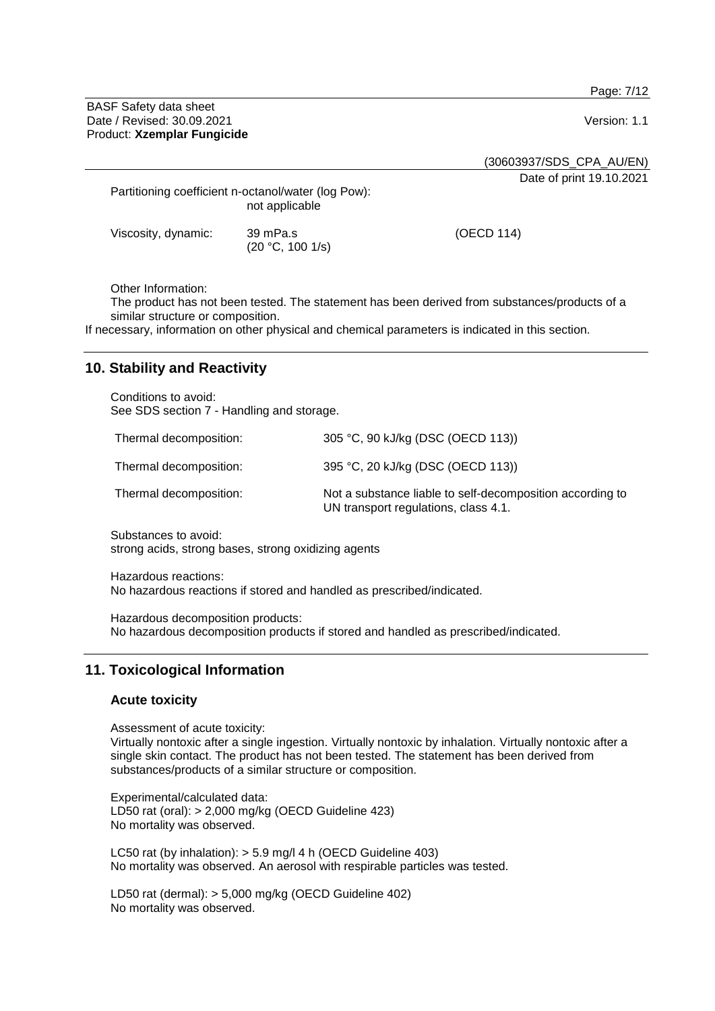Page: 7/12

BASF Safety data sheet Date / Revised: 30.09.2021 **Version: 1.1** Product: **Xzemplar Fungicide**

(30603937/SDS\_CPA\_AU/EN)

Date of print 19.10.2021

Partitioning coefficient n-octanol/water (log Pow): not applicable

(20 °C, 100 1/s)

Viscosity, dynamic: 39 mPa.s

(OECD 114)

Other Information:

The product has not been tested. The statement has been derived from substances/products of a similar structure or composition.

If necessary, information on other physical and chemical parameters is indicated in this section.

# **10. Stability and Reactivity**

Conditions to avoid: See SDS section 7 - Handling and storage.

| Thermal decomposition: | 305 °C, 90 kJ/kg (DSC (OECD 113))                                                                 |
|------------------------|---------------------------------------------------------------------------------------------------|
| Thermal decomposition: | 395 °C, 20 kJ/kg (DSC (OECD 113))                                                                 |
| Thermal decomposition: | Not a substance liable to self-decomposition according to<br>UN transport regulations, class 4.1. |

Substances to avoid: strong acids, strong bases, strong oxidizing agents

Hazardous reactions: No hazardous reactions if stored and handled as prescribed/indicated.

Hazardous decomposition products: No hazardous decomposition products if stored and handled as prescribed/indicated.

## **11. Toxicological Information**

## **Acute toxicity**

Assessment of acute toxicity: Virtually nontoxic after a single ingestion. Virtually nontoxic by inhalation. Virtually nontoxic after a single skin contact. The product has not been tested. The statement has been derived from substances/products of a similar structure or composition.

Experimental/calculated data: LD50 rat (oral): > 2,000 mg/kg (OECD Guideline 423) No mortality was observed.

LC50 rat (by inhalation): > 5.9 mg/l 4 h (OECD Guideline 403) No mortality was observed. An aerosol with respirable particles was tested.

LD50 rat (dermal): > 5,000 mg/kg (OECD Guideline 402) No mortality was observed.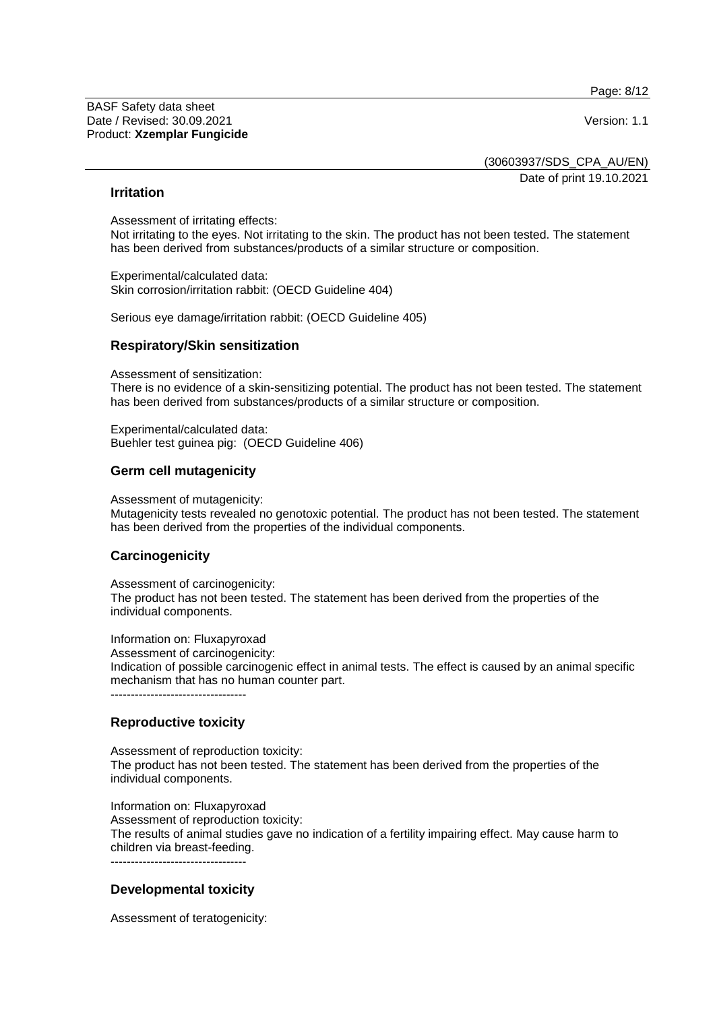Page: 8/12

BASF Safety data sheet Date / Revised: 30.09.2021 **Version: 1.1** Product: **Xzemplar Fungicide**

(30603937/SDS\_CPA\_AU/EN) Date of print 19.10.2021

## **Irritation**

Assessment of irritating effects: Not irritating to the eyes. Not irritating to the skin. The product has not been tested. The statement has been derived from substances/products of a similar structure or composition.

Experimental/calculated data: Skin corrosion/irritation rabbit: (OECD Guideline 404)

Serious eye damage/irritation rabbit: (OECD Guideline 405)

#### **Respiratory/Skin sensitization**

Assessment of sensitization:

There is no evidence of a skin-sensitizing potential. The product has not been tested. The statement has been derived from substances/products of a similar structure or composition.

Experimental/calculated data: Buehler test guinea pig: (OECD Guideline 406)

## **Germ cell mutagenicity**

Assessment of mutagenicity:

Mutagenicity tests revealed no genotoxic potential. The product has not been tested. The statement has been derived from the properties of the individual components.

## **Carcinogenicity**

Assessment of carcinogenicity:

The product has not been tested. The statement has been derived from the properties of the individual components.

Information on: Fluxapyroxad

Assessment of carcinogenicity:

Indication of possible carcinogenic effect in animal tests. The effect is caused by an animal specific mechanism that has no human counter part.

----------------------------------

## **Reproductive toxicity**

Assessment of reproduction toxicity: The product has not been tested. The statement has been derived from the properties of the individual components.

Information on: Fluxapyroxad Assessment of reproduction toxicity: The results of animal studies gave no indication of a fertility impairing effect. May cause harm to children via breast-feeding. ----------------------------------

## **Developmental toxicity**

Assessment of teratogenicity: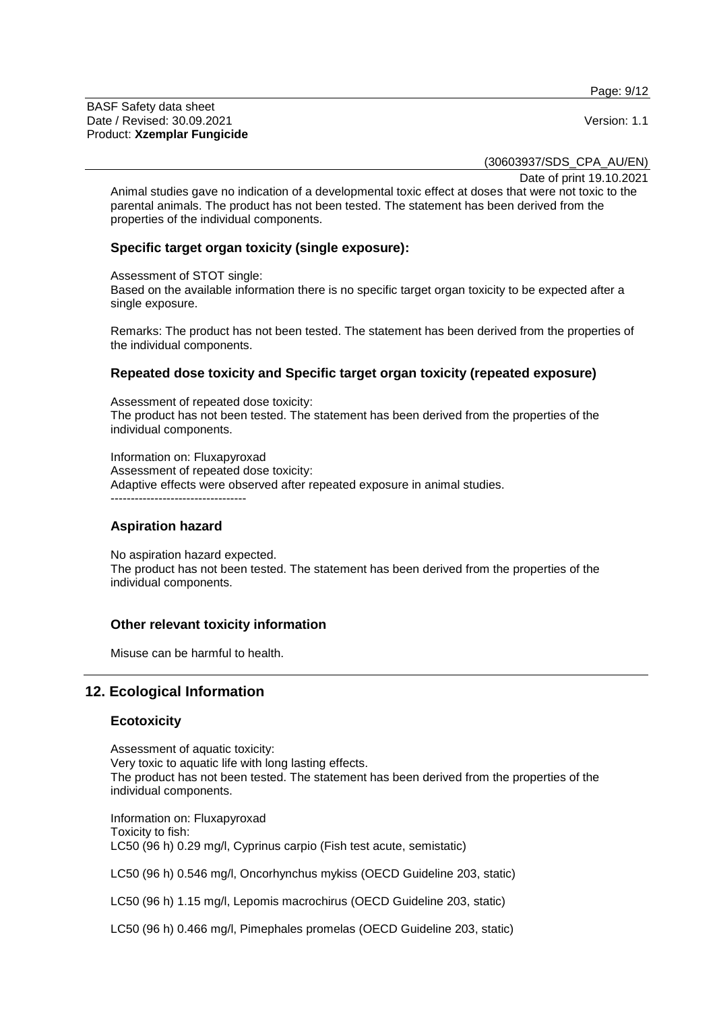Page: 9/12

BASF Safety data sheet Date / Revised: 30.09.2021 **Version: 1.1** Product: **Xzemplar Fungicide**

(30603937/SDS\_CPA\_AU/EN)

Date of print 19.10.2021

Animal studies gave no indication of a developmental toxic effect at doses that were not toxic to the parental animals. The product has not been tested. The statement has been derived from the properties of the individual components.

## **Specific target organ toxicity (single exposure):**

Assessment of STOT single:

Based on the available information there is no specific target organ toxicity to be expected after a single exposure.

Remarks: The product has not been tested. The statement has been derived from the properties of the individual components.

## **Repeated dose toxicity and Specific target organ toxicity (repeated exposure)**

Assessment of repeated dose toxicity: The product has not been tested. The statement has been derived from the properties of the individual components.

Information on: Fluxapyroxad Assessment of repeated dose toxicity: Adaptive effects were observed after repeated exposure in animal studies. ----------------------------------

## **Aspiration hazard**

No aspiration hazard expected. The product has not been tested. The statement has been derived from the properties of the individual components.

## **Other relevant toxicity information**

Misuse can be harmful to health.

# **12. Ecological Information**

## **Ecotoxicity**

Assessment of aquatic toxicity: Very toxic to aquatic life with long lasting effects. The product has not been tested. The statement has been derived from the properties of the individual components.

Information on: Fluxapyroxad Toxicity to fish: LC50 (96 h) 0.29 mg/l, Cyprinus carpio (Fish test acute, semistatic)

LC50 (96 h) 0.546 mg/l, Oncorhynchus mykiss (OECD Guideline 203, static)

LC50 (96 h) 1.15 mg/l, Lepomis macrochirus (OECD Guideline 203, static)

LC50 (96 h) 0.466 mg/l, Pimephales promelas (OECD Guideline 203, static)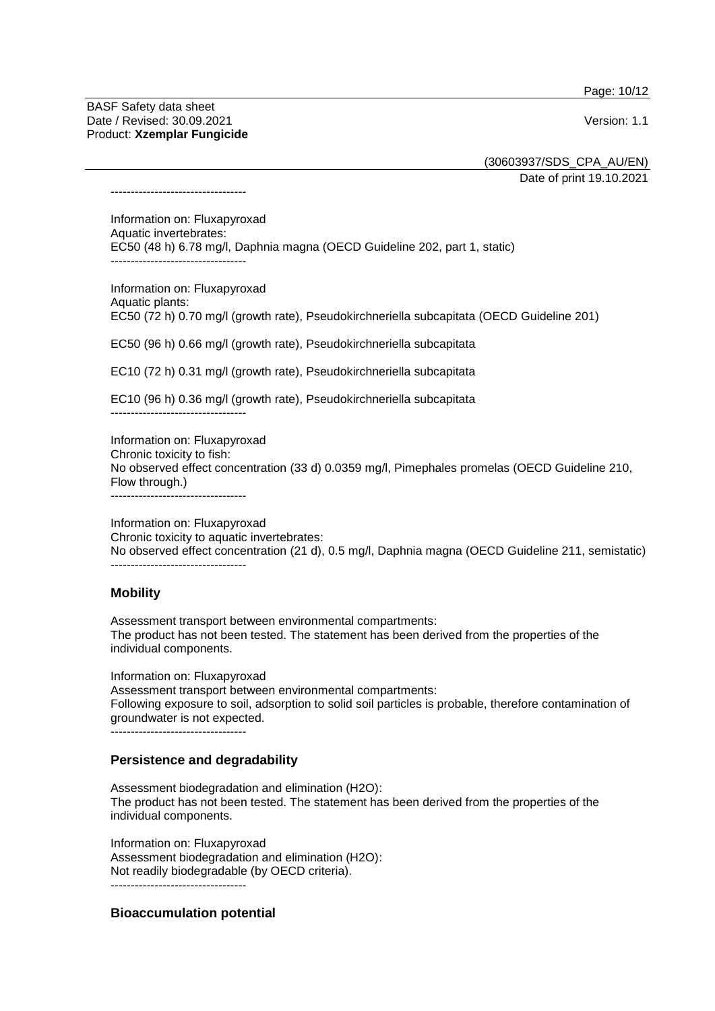Page: 10/12

BASF Safety data sheet Date / Revised: 30.09.2021 **Version: 1.1** Product: **Xzemplar Fungicide**

----------------------------------

(30603937/SDS\_CPA\_AU/EN)

Date of print 19.10.2021

Information on: Fluxapyroxad Aquatic invertebrates: EC50 (48 h) 6.78 mg/l, Daphnia magna (OECD Guideline 202, part 1, static) ----------------------------------

Information on: Fluxapyroxad Aquatic plants: EC50 (72 h) 0.70 mg/l (growth rate), Pseudokirchneriella subcapitata (OECD Guideline 201)

EC50 (96 h) 0.66 mg/l (growth rate), Pseudokirchneriella subcapitata

EC10 (72 h) 0.31 mg/l (growth rate), Pseudokirchneriella subcapitata

EC10 (96 h) 0.36 mg/l (growth rate), Pseudokirchneriella subcapitata

----------------------------------

Information on: Fluxapyroxad Chronic toxicity to fish: No observed effect concentration (33 d) 0.0359 mg/l, Pimephales promelas (OECD Guideline 210, Flow through.) ----------------------------------

Information on: Fluxapyroxad Chronic toxicity to aquatic invertebrates: No observed effect concentration (21 d), 0.5 mg/l, Daphnia magna (OECD Guideline 211, semistatic) ----------------------------------

## **Mobility**

Assessment transport between environmental compartments: The product has not been tested. The statement has been derived from the properties of the individual components.

Information on: Fluxapyroxad Assessment transport between environmental compartments: Following exposure to soil, adsorption to solid soil particles is probable, therefore contamination of groundwater is not expected. ----------------------------------

## **Persistence and degradability**

Assessment biodegradation and elimination (H2O): The product has not been tested. The statement has been derived from the properties of the individual components.

Information on: Fluxapyroxad Assessment biodegradation and elimination (H2O): Not readily biodegradable (by OECD criteria). ----------------------------------

## **Bioaccumulation potential**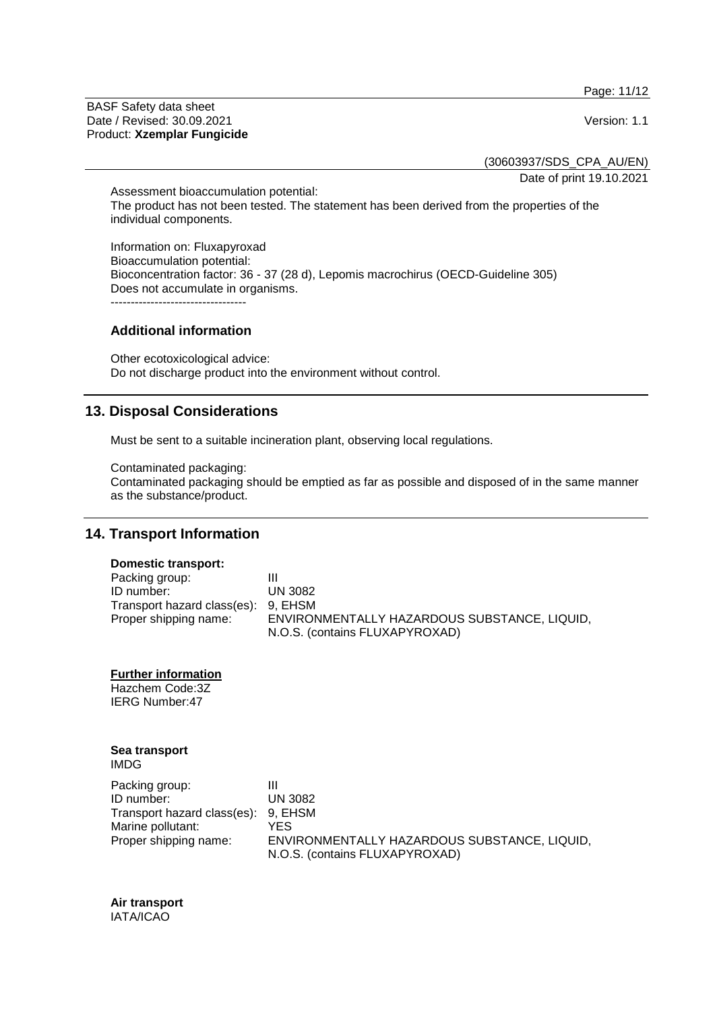Page: 11/12

BASF Safety data sheet Date / Revised: 30.09.2021 Version: 1.1 Product: **Xzemplar Fungicide**

(30603937/SDS\_CPA\_AU/EN)

Date of print 19.10.2021

Assessment bioaccumulation potential: The product has not been tested. The statement has been derived from the properties of the individual components.

Information on: Fluxapyroxad Bioaccumulation potential: Bioconcentration factor: 36 - 37 (28 d), Lepomis macrochirus (OECD-Guideline 305) Does not accumulate in organisms. ----------------------------------

#### **Additional information**

Other ecotoxicological advice: Do not discharge product into the environment without control.

## **13. Disposal Considerations**

Must be sent to a suitable incineration plant, observing local regulations.

Contaminated packaging:

Contaminated packaging should be emptied as far as possible and disposed of in the same manner as the substance/product.

# **14. Transport Information**

#### **Domestic transport:**

| Packing group:                      |                                              |
|-------------------------------------|----------------------------------------------|
| ID number:                          | UN 3082                                      |
| Transport hazard class(es): 9, EHSM |                                              |
| Proper shipping name:               | ENVIRONMENTALLY HAZARDOUS SUBSTANCE, LIQUID, |
|                                     | N.O.S. (contains FLUXAPYROXAD)               |

**Further information**

Hazchem Code:3Z IERG Number:47

## **Sea transport**

IMDG

| Packing group:                      | Ш                                            |
|-------------------------------------|----------------------------------------------|
| ID number:                          | <b>UN 3082</b>                               |
| Transport hazard class(es): 9, EHSM |                                              |
| Marine pollutant:                   | YES.                                         |
| Proper shipping name:               | ENVIRONMENTALLY HAZARDOUS SUBSTANCE, LIQUID. |
|                                     | N.O.S. (contains FLUXAPYROXAD)               |

#### **Air transport** IATA/ICAO